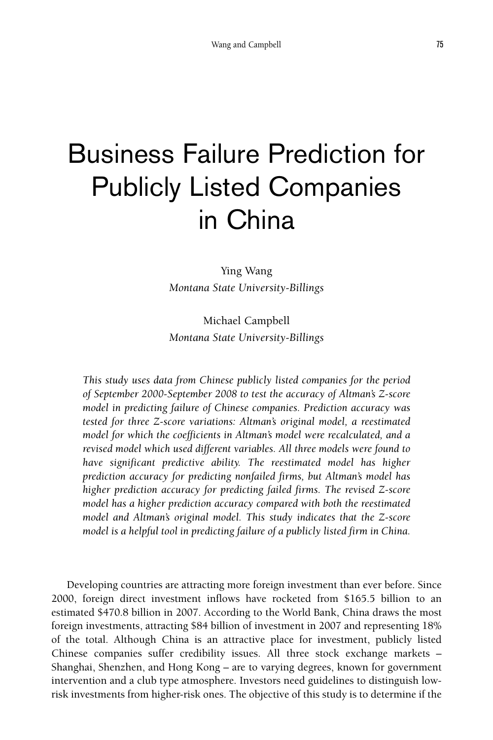# Business Failure Prediction for Publicly Listed Companies in China

Ying Wang *Montana State University-Billings*

Michael Campbell *Montana State University-Billings*

*This study uses data from Chinese publicly listed companies for the period of September 2000-September 2008 to test the accuracy of Altman's Z-score model in predicting failure of Chinese companies. Prediction accuracy was tested for three Z-score variations: Altman's original model, a reestimated model for which the coefficients in Altman's model were recalculated, and a revised model which used different variables. All three models were found to have significant predictive ability. The reestimated model has higher prediction accuracy for predicting nonfailed firms, but Altman's model has higher prediction accuracy for predicting failed firms. The revised Z-score model has a higher prediction accuracy compared with both the reestimated model and Altman's original model. This study indicates that the Z-score model is a helpful tool in predicting failure of a publicly listed firm in China.*

Developing countries are attracting more foreign investment than ever before. Since 2000, foreign direct investment inflows have rocketed from \$165.5 billion to an estimated \$470.8 billion in 2007. According to the World Bank, China draws the most foreign investments, attracting \$84 billion of investment in 2007 and representing 18% of the total. Although China is an attractive place for investment, publicly listed Chinese companies suffer credibility issues. All three stock exchange markets – Shanghai, Shenzhen, and Hong Kong – are to varying degrees, known for government intervention and a club type atmosphere. Investors need guidelines to distinguish lowrisk investments from higher-risk ones. The objective of this study is to determine if the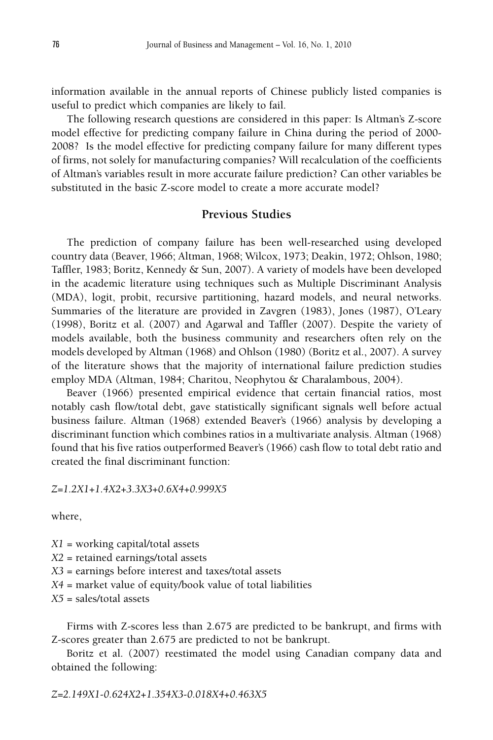information available in the annual reports of Chinese publicly listed companies is useful to predict which companies are likely to fail.

The following research questions are considered in this paper: Is Altman's Z-score model effective for predicting company failure in China during the period of 2000- 2008? Is the model effective for predicting company failure for many different types of firms, not solely for manufacturing companies? Will recalculation of the coefficients of Altman's variables result in more accurate failure prediction? Can other variables be substituted in the basic Z-score model to create a more accurate model?

## **Previous Studies**

The prediction of company failure has been well-researched using developed country data (Beaver, 1966; Altman, 1968; Wilcox, 1973; Deakin, 1972; Ohlson, 1980; Taffler, 1983; Boritz, Kennedy & Sun, 2007). A variety of models have been developed in the academic literature using techniques such as Multiple Discriminant Analysis (MDA), logit, probit, recursive partitioning, hazard models, and neural networks. Summaries of the literature are provided in Zavgren (1983), Jones (1987), O'Leary (1998), Boritz et al. (2007) and Agarwal and Taffler (2007). Despite the variety of models available, both the business community and researchers often rely on the models developed by Altman (1968) and Ohlson (1980) (Boritz et al., 2007). A survey of the literature shows that the majority of international failure prediction studies employ MDA (Altman, 1984; Charitou, Neophytou & Charalambous, 2004).

Beaver (1966) presented empirical evidence that certain financial ratios, most notably cash flow/total debt, gave statistically significant signals well before actual business failure. Altman (1968) extended Beaver's (1966) analysis by developing a discriminant function which combines ratios in a multivariate analysis. Altman (1968) found that his five ratios outperformed Beaver's (1966) cash flow to total debt ratio and created the final discriminant function:

*Z=1.2X1*+*1.4X2+3.3X3+0.6X4*+*0.999X5*

where,

*X1* = working capital/total assets

*X2* = retained earnings/total assets

*X3* = earnings before interest and taxes/total assets

*X4* = market value of equity/book value of total liabilities

*X5* = sales/total assets

Firms with Z-scores less than 2.675 are predicted to be bankrupt, and firms with Z-scores greater than 2.675 are predicted to not be bankrupt.

Boritz et al. (2007) reestimated the model using Canadian company data and obtained the following: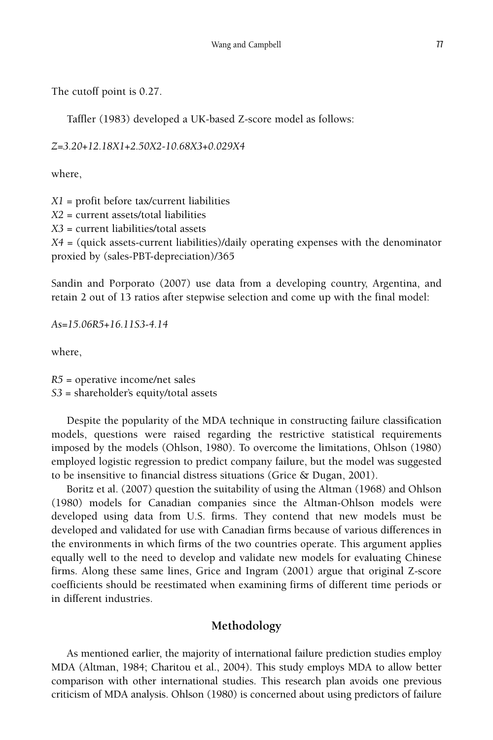The cutoff point is 0.27.

Taffler (1983) developed a UK-based Z-score model as follows:

*Z=3.20+12.18X1+2.50X2-10.68X3+0.029X4*

where,

*X1* = profit before tax/current liabilities *X2* = current assets/total liabilities *X3* = current liabilities/total assets *X4* = (quick assets-current liabilities)/daily operating expenses with the denominator proxied by (sales-PBT-depreciation)/365

Sandin and Porporato (2007) use data from a developing country, Argentina, and retain 2 out of 13 ratios after stepwise selection and come up with the final model:

*As=15.06R5*+*16.11S3-4.14*

where,

*R5* = operative income/net sales *S3* = shareholder's equity/total assets

Despite the popularity of the MDA technique in constructing failure classification models, questions were raised regarding the restrictive statistical requirements imposed by the models (Ohlson, 1980). To overcome the limitations, Ohlson (1980) employed logistic regression to predict company failure, but the model was suggested to be insensitive to financial distress situations (Grice & Dugan, 2001).

Boritz et al. (2007) question the suitability of using the Altman (1968) and Ohlson (1980) models for Canadian companies since the Altman-Ohlson models were developed using data from U.S. firms. They contend that new models must be developed and validated for use with Canadian firms because of various differences in the environments in which firms of the two countries operate. This argument applies equally well to the need to develop and validate new models for evaluating Chinese firms. Along these same lines, Grice and Ingram (2001) argue that original Z-score coefficients should be reestimated when examining firms of different time periods or in different industries.

# **Methodology**

As mentioned earlier, the majority of international failure prediction studies employ MDA (Altman, 1984; Charitou et al., 2004). This study employs MDA to allow better comparison with other international studies. This research plan avoids one previous criticism of MDA analysis. Ohlson (1980) is concerned about using predictors of failure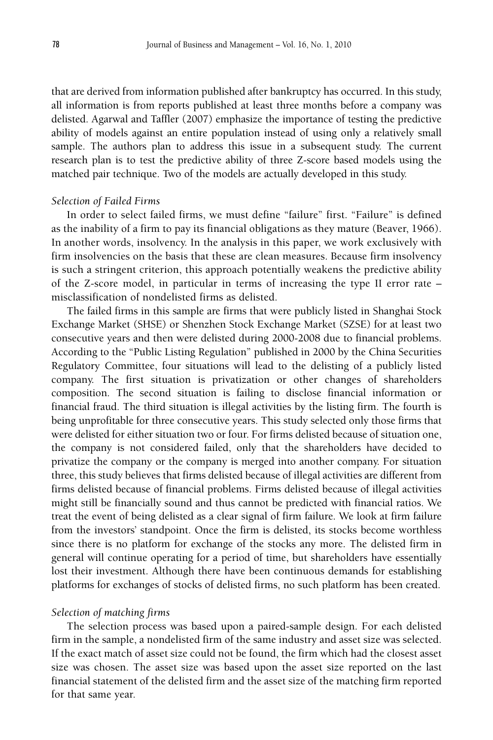that are derived from information published after bankruptcy has occurred. In this study, all information is from reports published at least three months before a company was delisted. Agarwal and Taffler (2007) emphasize the importance of testing the predictive ability of models against an entire population instead of using only a relatively small sample. The authors plan to address this issue in a subsequent study. The current research plan is to test the predictive ability of three Z-score based models using the matched pair technique. Two of the models are actually developed in this study.

### *Selection of Failed Firms*

In order to select failed firms, we must define "failure" first. "Failure" is defined as the inability of a firm to pay its financial obligations as they mature (Beaver, 1966). In another words, insolvency. In the analysis in this paper, we work exclusively with firm insolvencies on the basis that these are clean measures. Because firm insolvency is such a stringent criterion, this approach potentially weakens the predictive ability of the Z-score model, in particular in terms of increasing the type II error rate – misclassification of nondelisted firms as delisted.

The failed firms in this sample are firms that were publicly listed in Shanghai Stock Exchange Market (SHSE) or Shenzhen Stock Exchange Market (SZSE) for at least two consecutive years and then were delisted during 2000-2008 due to financial problems. According to the "Public Listing Regulation" published in 2000 by the China Securities Regulatory Committee, four situations will lead to the delisting of a publicly listed company. The first situation is privatization or other changes of shareholders composition. The second situation is failing to disclose financial information or financial fraud. The third situation is illegal activities by the listing firm. The fourth is being unprofitable for three consecutive years. This study selected only those firms that were delisted for either situation two or four. For firms delisted because of situation one, the company is not considered failed, only that the shareholders have decided to privatize the company or the company is merged into another company. For situation three, this study believes that firms delisted because of illegal activities are different from firms delisted because of financial problems. Firms delisted because of illegal activities might still be financially sound and thus cannot be predicted with financial ratios. We treat the event of being delisted as a clear signal of firm failure. We look at firm failure from the investors' standpoint. Once the firm is delisted, its stocks become worthless since there is no platform for exchange of the stocks any more. The delisted firm in general will continue operating for a period of time, but shareholders have essentially lost their investment. Although there have been continuous demands for establishing platforms for exchanges of stocks of delisted firms, no such platform has been created.

#### *Selection of matching firms*

The selection process was based upon a paired-sample design. For each delisted firm in the sample, a nondelisted firm of the same industry and asset size was selected. If the exact match of asset size could not be found, the firm which had the closest asset size was chosen. The asset size was based upon the asset size reported on the last financial statement of the delisted firm and the asset size of the matching firm reported for that same year.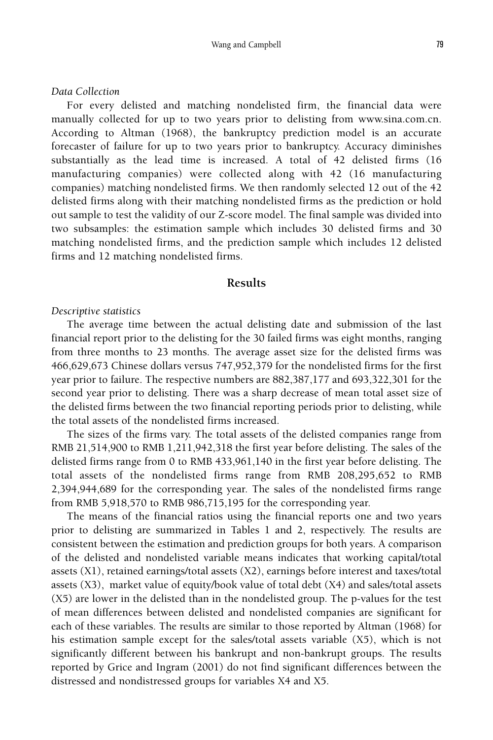#### *Data Collection*

For every delisted and matching nondelisted firm, the financial data were manually collected for up to two years prior to delisting from www.sina.com.cn. According to Altman (1968), the bankruptcy prediction model is an accurate forecaster of failure for up to two years prior to bankruptcy. Accuracy diminishes substantially as the lead time is increased. A total of 42 delisted firms (16 manufacturing companies) were collected along with 42 (16 manufacturing companies) matching nondelisted firms. We then randomly selected 12 out of the 42 delisted firms along with their matching nondelisted firms as the prediction or hold out sample to test the validity of our Z-score model. The final sample was divided into two subsamples: the estimation sample which includes 30 delisted firms and 30 matching nondelisted firms, and the prediction sample which includes 12 delisted firms and 12 matching nondelisted firms.

## **Results**

## *Descriptive statistics*

The average time between the actual delisting date and submission of the last financial report prior to the delisting for the 30 failed firms was eight months, ranging from three months to 23 months. The average asset size for the delisted firms was 466,629,673 Chinese dollars versus 747,952,379 for the nondelisted firms for the first year prior to failure. The respective numbers are 882,387,177 and 693,322,301 for the second year prior to delisting. There was a sharp decrease of mean total asset size of the delisted firms between the two financial reporting periods prior to delisting, while the total assets of the nondelisted firms increased.

The sizes of the firms vary. The total assets of the delisted companies range from RMB 21,514,900 to RMB 1,211,942,318 the first year before delisting. The sales of the delisted firms range from 0 to RMB 433,961,140 in the first year before delisting. The total assets of the nondelisted firms range from RMB 208,295,652 to RMB 2,394,944,689 for the corresponding year. The sales of the nondelisted firms range from RMB 5,918,570 to RMB 986,715,195 for the corresponding year.

The means of the financial ratios using the financial reports one and two years prior to delisting are summarized in Tables 1 and 2, respectively. The results are consistent between the estimation and prediction groups for both years. A comparison of the delisted and nondelisted variable means indicates that working capital/total assets (X1), retained earnings/total assets (X2), earnings before interest and taxes/total assets (X3), market value of equity/book value of total debt (X4) and sales/total assets (X5) are lower in the delisted than in the nondelisted group. The p-values for the test of mean differences between delisted and nondelisted companies are significant for each of these variables. The results are similar to those reported by Altman (1968) for his estimation sample except for the sales/total assets variable (X5), which is not significantly different between his bankrupt and non-bankrupt groups. The results reported by Grice and Ingram (2001) do not find significant differences between the distressed and nondistressed groups for variables X4 and X5.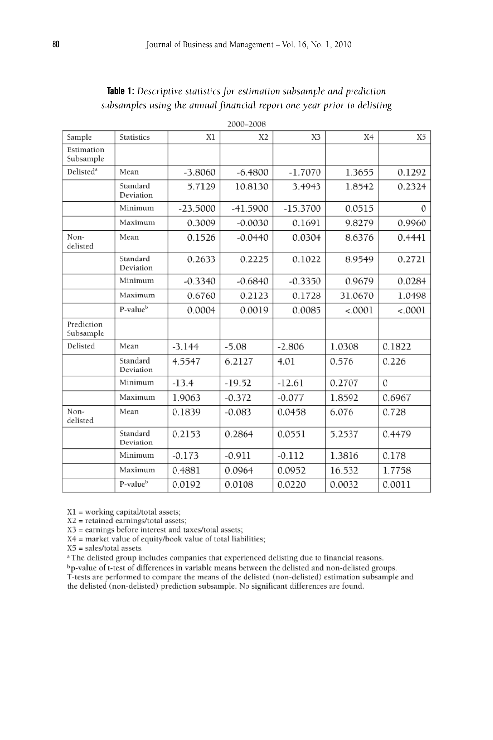| 2000–2008               |                       |            |                |            |         |          |
|-------------------------|-----------------------|------------|----------------|------------|---------|----------|
| Sample                  | Statistics            | X1         | X <sub>2</sub> | X3         | X4      | X5       |
| Estimation<br>Subsample |                       |            |                |            |         |          |
| Delisted <sup>a</sup>   | Mean                  | $-3.8060$  | $-6.4800$      | $-1.7070$  | 1.3655  | 0.1292   |
|                         | Standard<br>Deviation | 5.7129     | 10.8130        | 3.4943     | 1.8542  | 0.2324   |
|                         | Minimum               | $-23.5000$ | $-41.5900$     | $-15.3700$ | 0.0515  | $\Omega$ |
|                         | Maximum               | 0.3009     | $-0.0030$      | 0.1691     | 9.8279  | 0.9960   |
| Non-<br>delisted        | Mean                  | 0.1526     | $-0.0440$      | 0.0304     | 8.6376  | 0.4441   |
|                         | Standard<br>Deviation | 0.2633     | 0.2225         | 0.1022     | 8.9549  | 0.2721   |
|                         | Minimum               | $-0.3340$  | $-0.6840$      | $-0.3350$  | 0.9679  | 0.0284   |
|                         | Maximum               | 0.6760     | 0.2123         | 0.1728     | 31.0670 | 1.0498   |
|                         | P-value <sup>b</sup>  | 0.0004     | 0.0019         | 0.0085     | < .0001 | < .0001  |
| Prediction<br>Subsample |                       |            |                |            |         |          |
| Delisted                | Mean                  | $-3.144$   | $-5.08$        | $-2.806$   | 1.0308  | 0.1822   |
|                         | Standard<br>Deviation | 4.5547     | 6.2127         | 4.01       | 0.576   | 0.226    |
|                         | Minimum               | $-13.4$    | $-19.52$       | $-12.61$   | 0.2707  | $\Omega$ |
|                         | Maximum               | 1.9063     | $-0.372$       | $-0.077$   | 1.8592  | 0.6967   |
| Non-<br>delisted        | Mean                  | 0.1839     | $-0.083$       | 0.0458     | 6.076   | 0.728    |
|                         | Standard<br>Deviation | 0.2153     | 0.2864         | 0.0551     | 5.2537  | 0.4479   |
|                         | Minimum               | $-0.173$   | $-0.911$       | $-0.112$   | 1.3816  | 0.178    |
|                         | Maximum               | 0.4881     | 0.0964         | 0.0952     | 16.532  | 1.7758   |
|                         | P-value <sup>b</sup>  | 0.0192     | 0.0108         | 0.0220     | 0.0032  | 0.0011   |

# **Table 1:** *Descriptive statistics for estimation subsample and prediction subsamples using the annual financial report one year prior to delisting*

X1 = working capital/total assets;

X2 = retained earnings/total assets;

X3 = earnings before interest and taxes/total assets;

X4 = market value of equity/book value of total liabilities;

 $X5$  = sales/total assets.

<sup>a</sup> The delisted group includes companies that experienced delisting due to financial reasons.

<sup>b</sup> p-value of t-test of differences in variable means between the delisted and non-delisted groups. T-tests are performed to compare the means of the delisted (non-delisted) estimation subsample and the delisted (non-delisted) prediction subsample. No significant differences are found.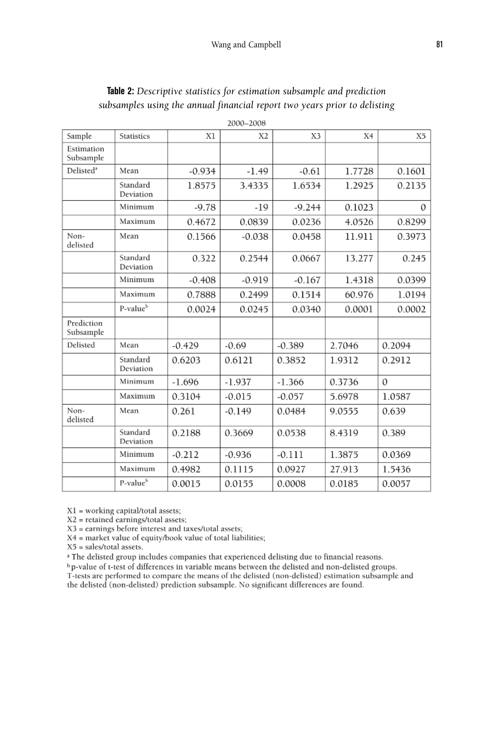| 2000-2008               |                       |          |                |          |        |          |
|-------------------------|-----------------------|----------|----------------|----------|--------|----------|
| Sample                  | <b>Statistics</b>     | X1       | X <sub>2</sub> | X3       | X4     | X5       |
| Estimation<br>Subsample |                       |          |                |          |        |          |
| Delisted <sup>a</sup>   | Mean                  | $-0.934$ | $-1.49$        | $-0.61$  | 1.7728 | 0.1601   |
|                         | Standard<br>Deviation | 1.8575   | 3.4335         | 1.6534   | 1.2925 | 0.2135   |
|                         | Minimum               | $-9.78$  | $-19$          | $-9.244$ | 0.1023 | $\Omega$ |
|                         | Maximum               | 0.4672   | 0.0839         | 0.0236   | 4.0526 | 0.8299   |
| Non-<br>delisted        | Mean                  | 0.1566   | $-0.038$       | 0.0458   | 11.911 | 0.3973   |
|                         | Standard<br>Deviation | 0.322    | 0.2544         | 0.0667   | 13.277 | 0.245    |
|                         | Minimum               | $-0.408$ | $-0.919$       | $-0.167$ | 1.4318 | 0.0399   |
|                         | Maximum               | 0.7888   | 0.2499         | 0.1514   | 60.976 | 1.0194   |
|                         | P-value <sup>b</sup>  | 0.0024   | 0.0245         | 0.0340   | 0.0001 | 0.0002   |
| Prediction<br>Subsample |                       |          |                |          |        |          |
| Delisted                | Mean                  | $-0.429$ | $-0.69$        | $-0.389$ | 2.7046 | 0.2094   |
|                         | Standard<br>Deviation | 0.6203   | 0.6121         | 0.3852   | 1.9312 | 0.2912   |
|                         | Minimum               | $-1.696$ | $-1.937$       | $-1.366$ | 0.3736 | $\Omega$ |
|                         | Maximum               | 0.3104   | $-0.015$       | $-0.057$ | 5.6978 | 1.0587   |
| Non-<br>delisted        | Mean                  | 0.261    | $-0.149$       | 0.0484   | 9.0555 | 0.639    |
|                         | Standard<br>Deviation | 0.2188   | 0.3669         | 0.0538   | 8.4319 | 0.389    |
|                         | Minimum               | $-0.212$ | $-0.936$       | $-0.111$ | 1.3875 | 0.0369   |
|                         | Maximum               | 0.4982   | 0.1115         | 0.0927   | 27.913 | 1.5436   |
|                         | P-value <sup>b</sup>  | 0.0015   | 0.0155         | 0.0008   | 0.0185 | 0.0057   |

# **Table 2:** *Descriptive statistics for estimation subsample and prediction subsamples using the annual financial report two years prior to delisting*

X1 = working capital/total assets;

X2 = retained earnings/total assets;

X3 = earnings before interest and taxes/total assets;

X4 = market value of equity/book value of total liabilities;

 $X5$  = sales/total assets.

<sup>a</sup> The delisted group includes companies that experienced delisting due to financial reasons.

<sup>b</sup> p-value of t-test of differences in variable means between the delisted and non-delisted groups. T-tests are performed to compare the means of the delisted (non-delisted) estimation subsample and the delisted (non-delisted) prediction subsample. No significant differences are found.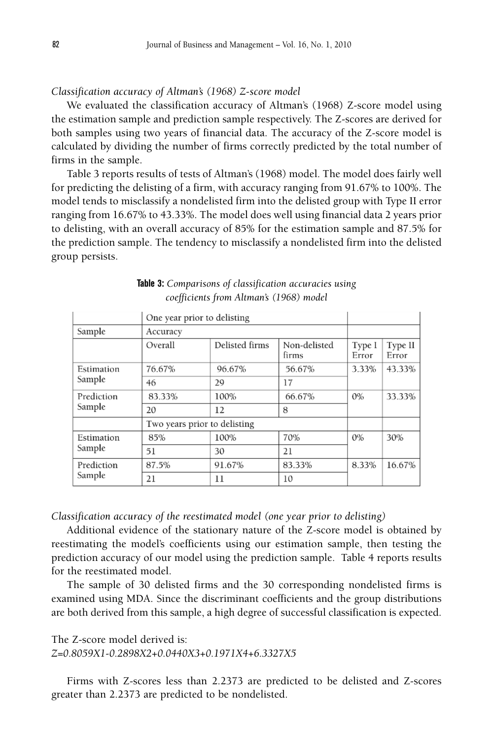### *Classification accuracy of Altman's (1968) Z-score model*

We evaluated the classification accuracy of Altman's (1968) Z-score model using the estimation sample and prediction sample respectively. The Z-scores are derived for both samples using two years of financial data. The accuracy of the Z-score model is calculated by dividing the number of firms correctly predicted by the total number of firms in the sample.

Table 3 reports results of tests of Altman's (1968) model. The model does fairly well for predicting the delisting of a firm, with accuracy ranging from 91.67% to 100%. The model tends to misclassify a nondelisted firm into the delisted group with Type II error ranging from 16.67% to 43.33%. The model does well using financial data 2 years prior to delisting, with an overall accuracy of 85% for the estimation sample and 87.5% for the prediction sample. The tendency to misclassify a nondelisted firm into the delisted group persists.

|            | One year prior to delisting  |                |                       |                 |                  |
|------------|------------------------------|----------------|-----------------------|-----------------|------------------|
| Sample     | Accuracy                     |                |                       |                 |                  |
|            | Overall                      | Delisted firms | Non-delisted<br>firms | Type I<br>Error | Type II<br>Error |
| Estimation | 76.67%                       | 96.67%         | 56.67%                | 3.33%           | 43.33%           |
| Sample     | 46                           | 29             | 17                    |                 |                  |
| Prediction | 83.33%                       | 100%           | 66.67%                | $0\%$           | 33.33%           |
| Sample     | 20                           | 12             | 8                     |                 |                  |
|            | Two years prior to delisting |                |                       |                 |                  |
| Estimation | 85%                          | 100%           | 70%                   | 0%              | 30%              |
| Sample     | 51                           | 30             | 21                    |                 |                  |
| Prediction | 87.5%                        | 91.67%         | 83.33%                | 8.33%           | 16.67%           |
| Sample     | 21                           | 11             | 10                    |                 |                  |

|                                         | <b>Table 3:</b> Comparisons of classification accuracies using |
|-----------------------------------------|----------------------------------------------------------------|
| coefficients from Altman's (1968) model |                                                                |

*Classification accuracy of the reestimated model (one year prior to delisting)*

Additional evidence of the stationary nature of the Z-score model is obtained by reestimating the model's coefficients using our estimation sample, then testing the prediction accuracy of our model using the prediction sample. Table 4 reports results for the reestimated model.

The sample of 30 delisted firms and the 30 corresponding nondelisted firms is examined using MDA. Since the discriminant coefficients and the group distributions are both derived from this sample, a high degree of successful classification is expected.

The Z-score model derived is:

*Z=0.8059X1-0.2898X2*+*0.0440X3*+*0.1971X4*+*6.3327X5*

Firms with Z-scores less than 2.2373 are predicted to be delisted and Z-scores greater than 2.2373 are predicted to be nondelisted.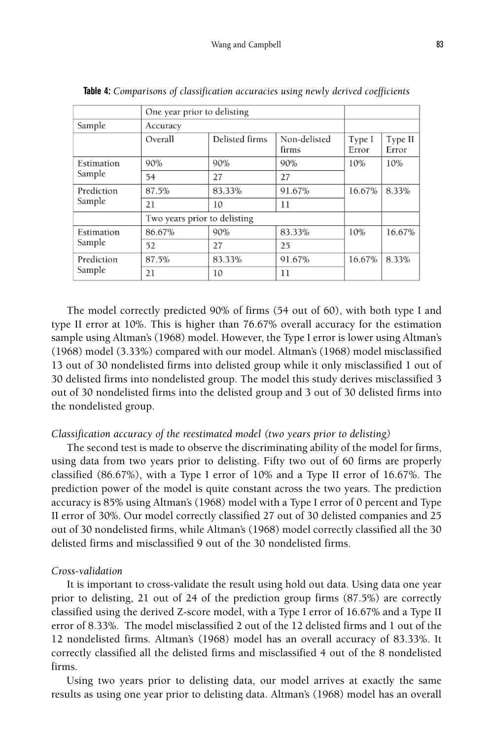|            | One year prior to delisting  |                |                       |                 |                  |
|------------|------------------------------|----------------|-----------------------|-----------------|------------------|
| Sample     | Accuracy                     |                |                       |                 |                  |
|            | Overall                      | Delisted firms | Non-delisted<br>firms | Type I<br>Error | Type II<br>Error |
| Estimation | 90%                          | 90%            | 90%                   | 10%             | 10%              |
| Sample     | 54                           | 27             | 27                    |                 |                  |
| Prediction | 87.5%                        | 83.33%         | 91.67%                | 16.67%          | 8.33%            |
| Sample     | 21                           | 10             | 11                    |                 |                  |
|            | Two years prior to delisting |                |                       |                 |                  |
| Estimation | 86.67%                       | 90%            | 83.33%                | 10%             | 16.67%           |
| Sample     | 52                           | 27             | 25                    |                 |                  |
| Prediction | 87.5%                        | 83.33%         | 91.67%                | 16.67%          | 8.33%            |
| Sample     | 21                           | 10             | 11                    |                 |                  |

**Table 4:** *Comparisons of classification accuracies using newly derived coefficients*

The model correctly predicted 90% of firms (54 out of 60), with both type I and type II error at 10%. This is higher than 76.67% overall accuracy for the estimation sample using Altman's (1968) model. However, the Type I error is lower using Altman's (1968) model (3.33%) compared with our model. Altman's (1968) model misclassified 13 out of 30 nondelisted firms into delisted group while it only misclassified 1 out of 30 delisted firms into nondelisted group. The model this study derives misclassified 3 out of 30 nondelisted firms into the delisted group and 3 out of 30 delisted firms into the nondelisted group.

### *Classification accuracy of the reestimated model (two years prior to delisting)*

The second test is made to observe the discriminating ability of the model for firms, using data from two years prior to delisting. Fifty two out of 60 firms are properly classified (86.67%), with a Type I error of 10% and a Type II error of 16.67%. The prediction power of the model is quite constant across the two years. The prediction accuracy is 85% using Altman's (1968) model with a Type I error of 0 percent and Type II error of 30%. Our model correctly classified 27 out of 30 delisted companies and 25 out of 30 nondelisted firms, while Altman's (1968) model correctly classified all the 30 delisted firms and misclassified 9 out of the 30 nondelisted firms.

#### *Cross-validation*

It is important to cross-validate the result using hold out data. Using data one year prior to delisting, 21 out of 24 of the prediction group firms (87.5%) are correctly classified using the derived Z-score model, with a Type I error of 16.67% and a Type II error of 8.33%. The model misclassified 2 out of the 12 delisted firms and 1 out of the 12 nondelisted firms. Altman's (1968) model has an overall accuracy of 83.33%. It correctly classified all the delisted firms and misclassified 4 out of the 8 nondelisted firms.

Using two years prior to delisting data, our model arrives at exactly the same results as using one year prior to delisting data. Altman's (1968) model has an overall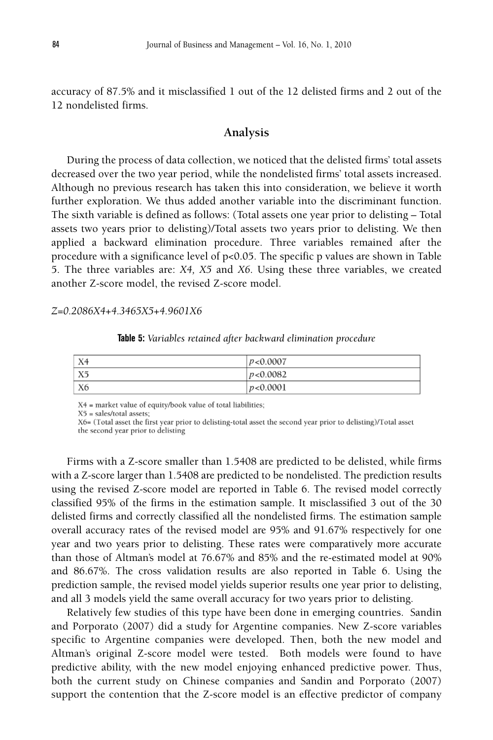accuracy of 87.5% and it misclassified 1 out of the 12 delisted firms and 2 out of the 12 nondelisted firms.

## **Analysis**

During the process of data collection, we noticed that the delisted firms' total assets decreased over the two year period, while the nondelisted firms' total assets increased. Although no previous research has taken this into consideration, we believe it worth further exploration. We thus added another variable into the discriminant function. The sixth variable is defined as follows: (Total assets one year prior to delisting – Total assets two years prior to delisting)/Total assets two years prior to delisting. We then applied a backward elimination procedure. Three variables remained after the procedure with a significance level of  $p<0.05$ . The specific p values are shown in Table 5. The three variables are: *X4, X5* and *X6*. Using these three variables, we created another Z-score model, the revised Z-score model.

#### *Z=0.2086X4*+*4.3465X5*+*4.9601X6*

**Table 5:** *Variables retained after backward elimination procedure*

| X <sub>4</sub> | p < 0.0007 |
|----------------|------------|
| X5             | p < 0.0082 |
| X6             | p < 0.0001 |

X4 = market value of equity/book value of total liabilities;

X5 = sales/total assets;

X6= (Total asset the first year prior to delisting-total asset the second year prior to delisting)/Total asset the second year prior to delisting

Firms with a Z-score smaller than 1.5408 are predicted to be delisted, while firms with a Z-score larger than 1.5408 are predicted to be nondelisted. The prediction results using the revised Z-score model are reported in Table 6. The revised model correctly classified 95% of the firms in the estimation sample. It misclassified 3 out of the 30 delisted firms and correctly classified all the nondelisted firms. The estimation sample overall accuracy rates of the revised model are 95% and 91.67% respectively for one year and two years prior to delisting. These rates were comparatively more accurate than those of Altman's model at 76.67% and 85% and the re-estimated model at 90% and 86.67%. The cross validation results are also reported in Table 6. Using the prediction sample, the revised model yields superior results one year prior to delisting, and all 3 models yield the same overall accuracy for two years prior to delisting.

Relatively few studies of this type have been done in emerging countries. Sandin and Porporato (2007) did a study for Argentine companies. New Z-score variables specific to Argentine companies were developed. Then, both the new model and Altman's original Z-score model were tested. Both models were found to have predictive ability, with the new model enjoying enhanced predictive power. Thus, both the current study on Chinese companies and Sandin and Porporato (2007) support the contention that the Z-score model is an effective predictor of company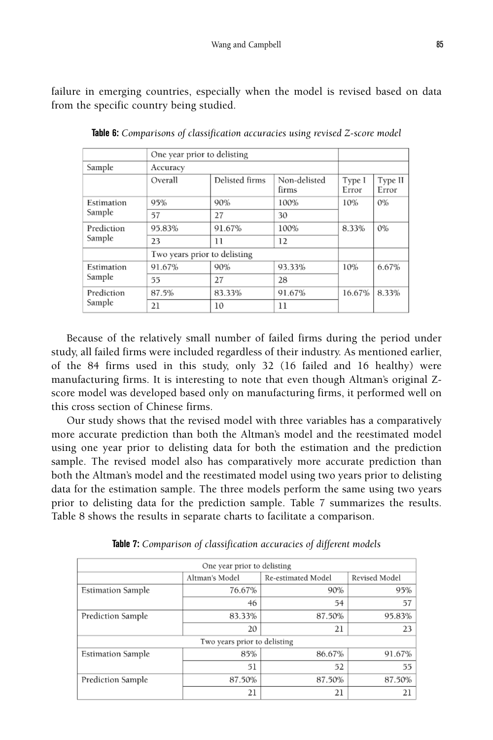failure in emerging countries, especially when the model is revised based on data from the specific country being studied.

|            | One year prior to delisting  |                |                       |                 |                  |
|------------|------------------------------|----------------|-----------------------|-----------------|------------------|
| Sample     | Accuracy                     |                |                       |                 |                  |
|            | Overall                      | Delisted firms | Non-delisted<br>firms | Type I<br>Error | Type II<br>Error |
| Estimation | 95%                          | 90%            | 100%                  | 10%             | $0\%$            |
| Sample     | 57                           | 27             | 30                    |                 |                  |
| Prediction | 95.83%                       | 91.67%         | 100%                  | 8.33%           | $0\%$            |
| Sample     | 23                           | 11             | 12                    |                 |                  |
|            | Two years prior to delisting |                |                       |                 |                  |
| Estimation | 91.67%                       | 90%            | 93.33%                | 10%             | 6.67%            |
| Sample     | 55                           | 27             | 28                    |                 |                  |
| Prediction | 87.5%                        | 83.33%         | 91.67%                | 16.67%          | 8.33%            |
| Sample     | 21                           | 10             | 11                    |                 |                  |

**Table 6:** *Comparisons of classification accuracies using revised Z-score model*

Because of the relatively small number of failed firms during the period under study, all failed firms were included regardless of their industry. As mentioned earlier, of the 84 firms used in this study, only 32 (16 failed and 16 healthy) were manufacturing firms. It is interesting to note that even though Altman's original Zscore model was developed based only on manufacturing firms, it performed well on this cross section of Chinese firms.

Our study shows that the revised model with three variables has a comparatively more accurate prediction than both the Altman's model and the reestimated model using one year prior to delisting data for both the estimation and the prediction sample. The revised model also has comparatively more accurate prediction than both the Altman's model and the reestimated model using two years prior to delisting data for the estimation sample. The three models perform the same using two years prior to delisting data for the prediction sample. Table 7 summarizes the results. Table 8 shows the results in separate charts to facilitate a comparison.

| One year prior to delisting                           |        |        |        |  |  |  |
|-------------------------------------------------------|--------|--------|--------|--|--|--|
| Revised Model<br>Re-estimated Model<br>Altman's Model |        |        |        |  |  |  |
| <b>Estimation Sample</b>                              | 76.67% | 90%    | 95%    |  |  |  |
|                                                       | 46     | 54     | 57     |  |  |  |
| Prediction Sample                                     | 83.33% | 87.50% | 95.83% |  |  |  |
|                                                       | 20     | 21     | 23     |  |  |  |
| Two years prior to delisting                          |        |        |        |  |  |  |
| <b>Estimation Sample</b>                              | 85%    | 86.67% | 91.67% |  |  |  |
|                                                       | 51     | 52     | 55     |  |  |  |
| Prediction Sample                                     | 87.50% | 87.50% | 87.50% |  |  |  |
|                                                       | 21     | 21     | 21     |  |  |  |

**Table 7:** *Comparison of classification accuracies of different models*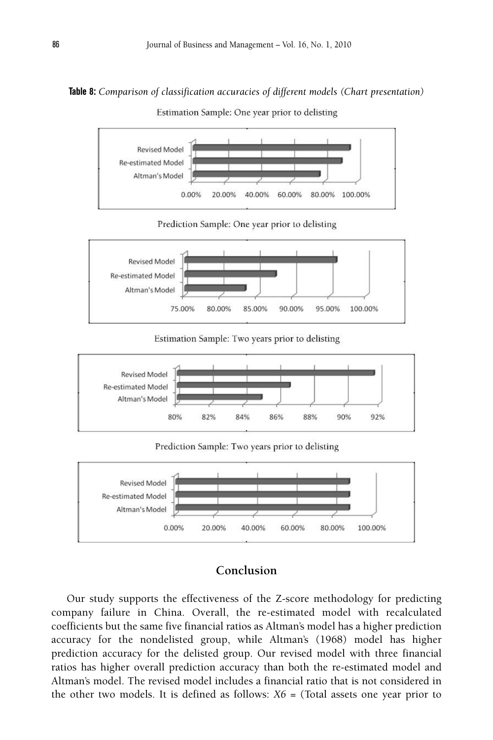#### **Table 8:** *Comparison of classification accuracies of different models (Chart presentation)*

Estimation Sample: One year prior to delisting



Prediction Sample: One year prior to delisting



Estimation Sample: Two years prior to delisting



Prediction Sample: Two years prior to delisting



## **Conclusion**

Our study supports the effectiveness of the Z-score methodology for predicting company failure in China. Overall, the re-estimated model with recalculated coefficients but the same five financial ratios as Altman's model has a higher prediction accuracy for the nondelisted group, while Altman's (1968) model has higher prediction accuracy for the delisted group. Our revised model with three financial ratios has higher overall prediction accuracy than both the re-estimated model and Altman's model. The revised model includes a financial ratio that is not considered in the other two models. It is defined as follows:  $X6 =$  (Total assets one year prior to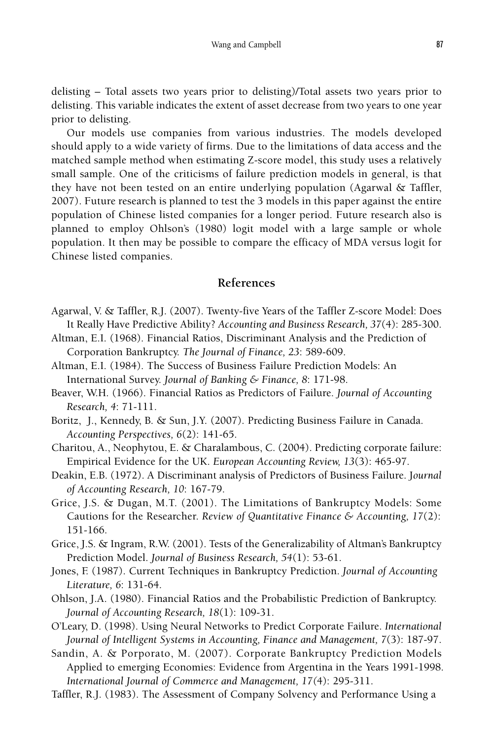delisting – Total assets two years prior to delisting)/Total assets two years prior to delisting. This variable indicates the extent of asset decrease from two years to one year prior to delisting.

Our models use companies from various industries. The models developed should apply to a wide variety of firms. Due to the limitations of data access and the matched sample method when estimating Z-score model, this study uses a relatively small sample. One of the criticisms of failure prediction models in general, is that they have not been tested on an entire underlying population (Agarwal & Taffler, 2007). Future research is planned to test the 3 models in this paper against the entire population of Chinese listed companies for a longer period. Future research also is planned to employ Ohlson's (1980) logit model with a large sample or whole population. It then may be possible to compare the efficacy of MDA versus logit for Chinese listed companies.

# **References**

- Agarwal, V. & Taffler, R.J. (2007). Twenty-five Years of the Taffler Z-score Model: Does It Really Have Predictive Ability? *Accounting and Business Research, 37*(4): 285-300.
- Altman, E.I. (1968). Financial Ratios, Discriminant Analysis and the Prediction of Corporation Bankruptcy. *The Journal of Finance, 23*: 589-609.
- Altman, E.I. (1984). The Success of Business Failure Prediction Models: An International Survey. *Journal of Banking & Finance, 8*: 171-98.
- Beaver, W.H. (1966). Financial Ratios as Predictors of Failure. *Journal of Accounting Research, 4*: 71-111.
- Boritz, J., Kennedy, B. & Sun, J.Y. (2007). Predicting Business Failure in Canada. *Accounting Perspectives, 6*(2): 141-65.
- Charitou, A., Neophytou, E. & Charalambous, C. (2004). Predicting corporate failure: Empirical Evidence for the UK. *European Accounting Review, 13*(3): 465-97.
- Deakin, E.B. (1972). A Discriminant analysis of Predictors of Business Failure. J*ournal of Accounting Research, 10*: 167-79.
- Grice, J.S. & Dugan, M.T. (2001). The Limitations of Bankruptcy Models: Some Cautions for the Researcher. *Review of Quantitative Finance & Accounting, 17*(2): 151-166.
- Grice, J.S. & Ingram, R.W. (2001). Tests of the Generalizability of Altman's Bankruptcy Prediction Model. *Journal of Business Research, 54*(1): 53-61.
- Jones, F. (1987). Current Techniques in Bankruptcy Prediction. *Journal of Accounting Literature, 6*: 131-64.
- Ohlson, J.A. (1980). Financial Ratios and the Probabilistic Prediction of Bankruptcy. *Journal of Accounting Research, 18*(1): 109-31.
- O'Leary, D. (1998). Using Neural Networks to Predict Corporate Failure. *International Journal of Intelligent Systems in Accounting, Finance and Management, 7*(3): 187-97.
- Sandin, A. & Porporato, M. (2007). Corporate Bankruptcy Prediction Models Applied to emerging Economies: Evidence from Argentina in the Years 1991-1998. *International Journal of Commerce and Management, 17(*4): 295-311.

Taffler, R.J. (1983). The Assessment of Company Solvency and Performance Using a